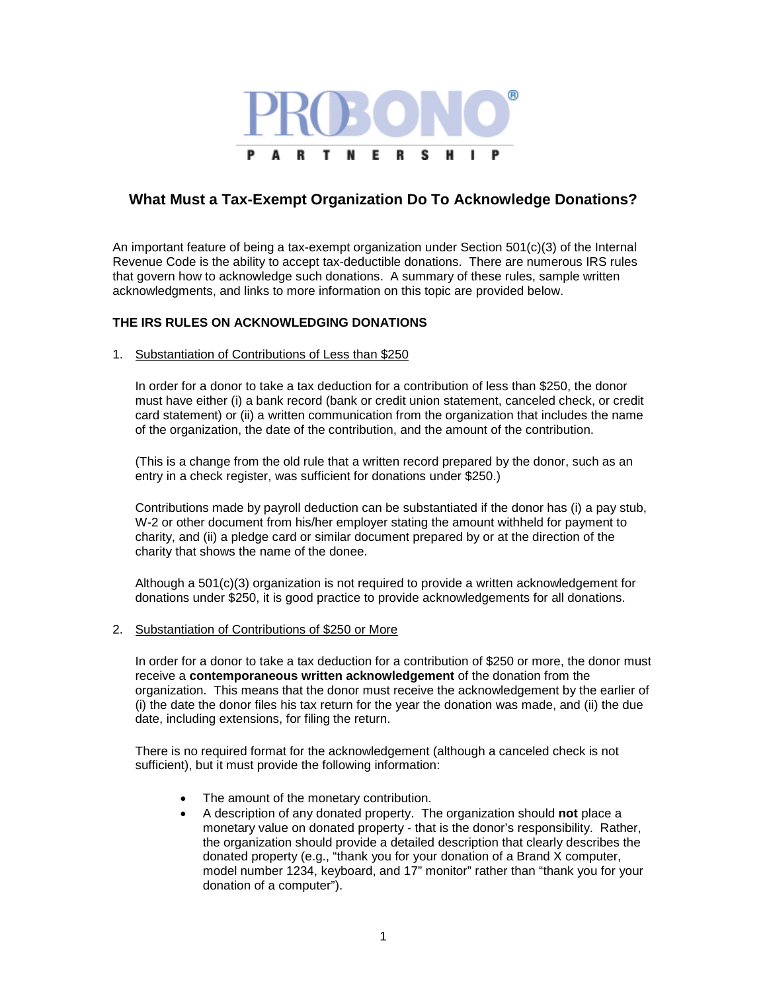

# **What Must a Tax-Exempt Organization Do To Acknowledge Donations?**

An important feature of being a tax-exempt organization under Section 501(c)(3) of the Internal Revenue Code is the ability to accept tax-deductible donations. There are numerous IRS rules that govern how to acknowledge such donations. A summary of these rules, sample written acknowledgments, and links to more information on this topic are provided below.

# **THE IRS RULES ON ACKNOWLEDGING DONATIONS**

1. Substantiation of Contributions of Less than \$250

In order for a donor to take a tax deduction for a contribution of less than \$250, the donor must have either (i) a bank record (bank or credit union statement, canceled check, or credit card statement) or (ii) a written communication from the organization that includes the name of the organization, the date of the contribution, and the amount of the contribution.

(This is a change from the old rule that a written record prepared by the donor, such as an entry in a check register, was sufficient for donations under \$250.)

Contributions made by payroll deduction can be substantiated if the donor has (i) a pay stub, W-2 or other document from his/her employer stating the amount withheld for payment to charity, and (ii) a pledge card or similar document prepared by or at the direction of the charity that shows the name of the donee.

Although a 501(c)(3) organization is not required to provide a written acknowledgement for donations under \$250, it is good practice to provide acknowledgements for all donations.

#### 2. Substantiation of Contributions of \$250 or More

In order for a donor to take a tax deduction for a contribution of \$250 or more, the donor must receive a **contemporaneous written acknowledgement** of the donation from the organization. This means that the donor must receive the acknowledgement by the earlier of (i) the date the donor files his tax return for the year the donation was made, and (ii) the due date, including extensions, for filing the return.

There is no required format for the acknowledgement (although a canceled check is not sufficient), but it must provide the following information:

- The amount of the monetary contribution.
- A description of any donated property. The organization should **not** place a monetary value on donated property - that is the donor's responsibility. Rather, the organization should provide a detailed description that clearly describes the donated property (e.g., "thank you for your donation of a Brand X computer, model number 1234, keyboard, and 17" monitor" rather than "thank you for your donation of a computer").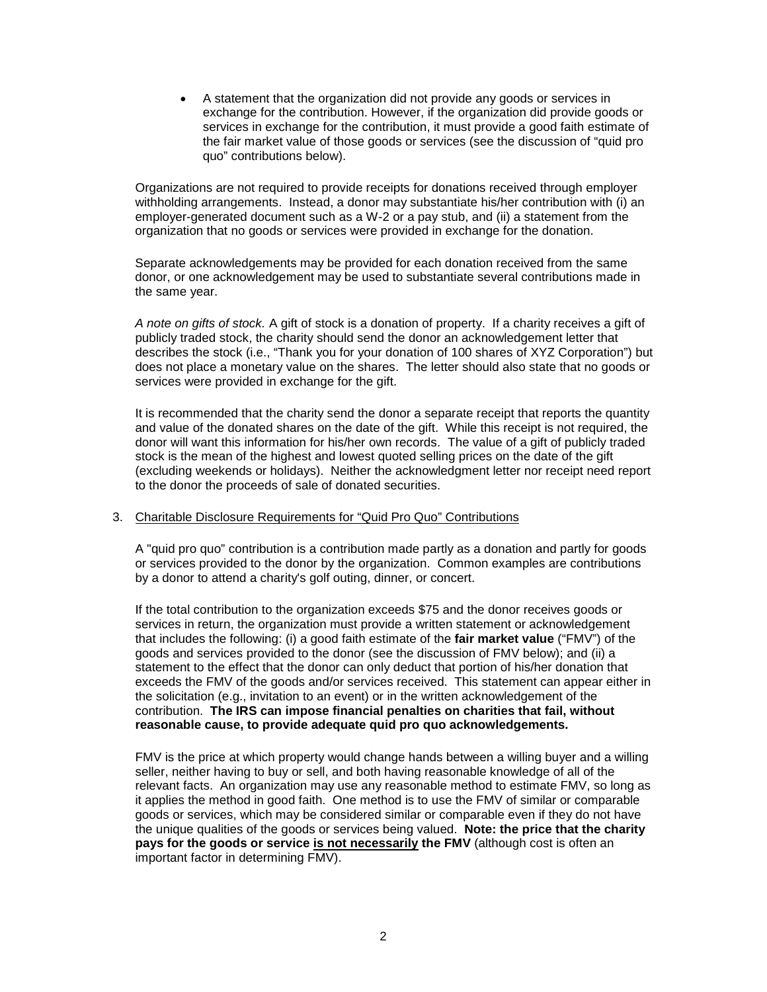• A statement that the organization did not provide any goods or services in exchange for the contribution. However, if the organization did provide goods or services in exchange for the contribution, it must provide a good faith estimate of the fair market value of those goods or services (see the discussion of "quid pro quo" contributions below).

Organizations are not required to provide receipts for donations received through employer withholding arrangements. Instead, a donor may substantiate his/her contribution with (i) an employer-generated document such as a W-2 or a pay stub, and (ii) a statement from the organization that no goods or services were provided in exchange for the donation.

Separate acknowledgements may be provided for each donation received from the same donor, or one acknowledgement may be used to substantiate several contributions made in the same year.

*A note on gifts of stock.* A gift of stock is a donation of property. If a charity receives a gift of publicly traded stock, the charity should send the donor an acknowledgement letter that describes the stock (i.e., "Thank you for your donation of 100 shares of XYZ Corporation") but does not place a monetary value on the shares. The letter should also state that no goods or services were provided in exchange for the gift.

It is recommended that the charity send the donor a separate receipt that reports the quantity and value of the donated shares on the date of the gift. While this receipt is not required, the donor will want this information for his/her own records. The value of a gift of publicly traded stock is the mean of the highest and lowest quoted selling prices on the date of the gift (excluding weekends or holidays). Neither the acknowledgment letter nor receipt need report to the donor the proceeds of sale of donated securities.

## 3. Charitable Disclosure Requirements for "Quid Pro Quo" Contributions

A "quid pro quo" contribution is a contribution made partly as a donation and partly for goods or services provided to the donor by the organization. Common examples are contributions by a donor to attend a charity's golf outing, dinner, or concert.

If the total contribution to the organization exceeds \$75 and the donor receives goods or services in return, the organization must provide a written statement or acknowledgement that includes the following: (i) a good faith estimate of the **fair market value** ("FMV") of the goods and services provided to the donor (see the discussion of FMV below); and (ii) a statement to the effect that the donor can only deduct that portion of his/her donation that exceeds the FMV of the goods and/or services received. This statement can appear either in the solicitation (e.g., invitation to an event) or in the written acknowledgement of the contribution. **The IRS can impose financial penalties on charities that fail, without reasonable cause, to provide adequate quid pro quo acknowledgements.**

FMV is the price at which property would change hands between a willing buyer and a willing seller, neither having to buy or sell, and both having reasonable knowledge of all of the relevant facts. An organization may use any reasonable method to estimate FMV, so long as it applies the method in good faith. One method is to use the FMV of similar or comparable goods or services, which may be considered similar or comparable even if they do not have the unique qualities of the goods or services being valued. **Note: the price that the charity pays for the goods or service <u>is not necessarily</u> the FMV** (although cost is often an important factor in determining FMV).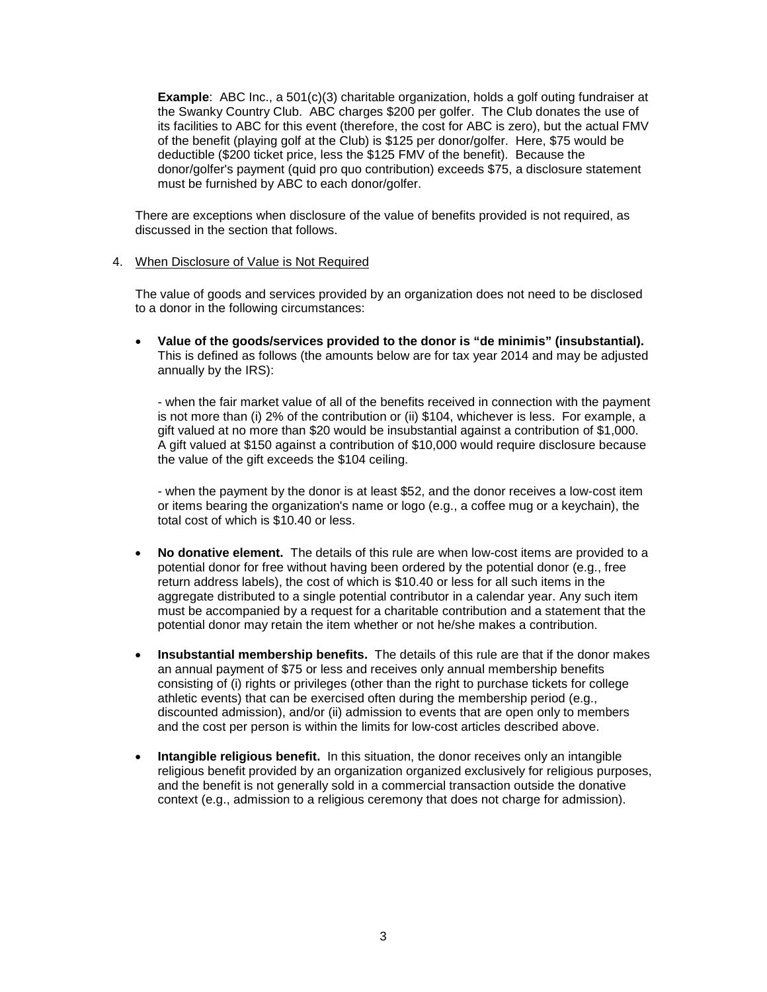**Example**: ABC Inc., a 501(c)(3) charitable organization, holds a golf outing fundraiser at the Swanky Country Club. ABC charges \$200 per golfer. The Club donates the use of its facilities to ABC for this event (therefore, the cost for ABC is zero), but the actual FMV of the benefit (playing golf at the Club) is \$125 per donor/golfer. Here, \$75 would be deductible (\$200 ticket price, less the \$125 FMV of the benefit). Because the donor/golfer's payment (quid pro quo contribution) exceeds \$75, a disclosure statement must be furnished by ABC to each donor/golfer.

There are exceptions when disclosure of the value of benefits provided is not required, as discussed in the section that follows.

## 4. When Disclosure of Value is Not Required

The value of goods and services provided by an organization does not need to be disclosed to a donor in the following circumstances:

• **Value of the goods/services provided to the donor is "de minimis" (insubstantial).** This is defined as follows (the amounts below are for tax year 2014 and may be adjusted annually by the IRS):

- when the fair market value of all of the benefits received in connection with the payment is not more than (i) 2% of the contribution or (ii) \$104, whichever is less. For example, a gift valued at no more than \$20 would be insubstantial against a contribution of \$1,000. A gift valued at \$150 against a contribution of \$10,000 would require disclosure because the value of the gift exceeds the \$104 ceiling.

- when the payment by the donor is at least \$52, and the donor receives a low-cost item or items bearing the organization's name or logo (e.g., a coffee mug or a keychain), the total cost of which is \$10.40 or less.

- **No donative element.** The details of this rule are when low-cost items are provided to a potential donor for free without having been ordered by the potential donor (e.g., free return address labels), the cost of which is \$10.40 or less for all such items in the aggregate distributed to a single potential contributor in a calendar year. Any such item must be accompanied by a request for a charitable contribution and a statement that the potential donor may retain the item whether or not he/she makes a contribution.
- **Insubstantial membership benefits.** The details of this rule are that if the donor makes an annual payment of \$75 or less and receives only annual membership benefits consisting of (i) rights or privileges (other than the right to purchase tickets for college athletic events) that can be exercised often during the membership period (e.g., discounted admission), and/or (ii) admission to events that are open only to members and the cost per person is within the limits for low-cost articles described above.
- **Intangible religious benefit.** In this situation, the donor receives only an intangible religious benefit provided by an organization organized exclusively for religious purposes, and the benefit is not generally sold in a commercial transaction outside the donative context (e.g., admission to a religious ceremony that does not charge for admission).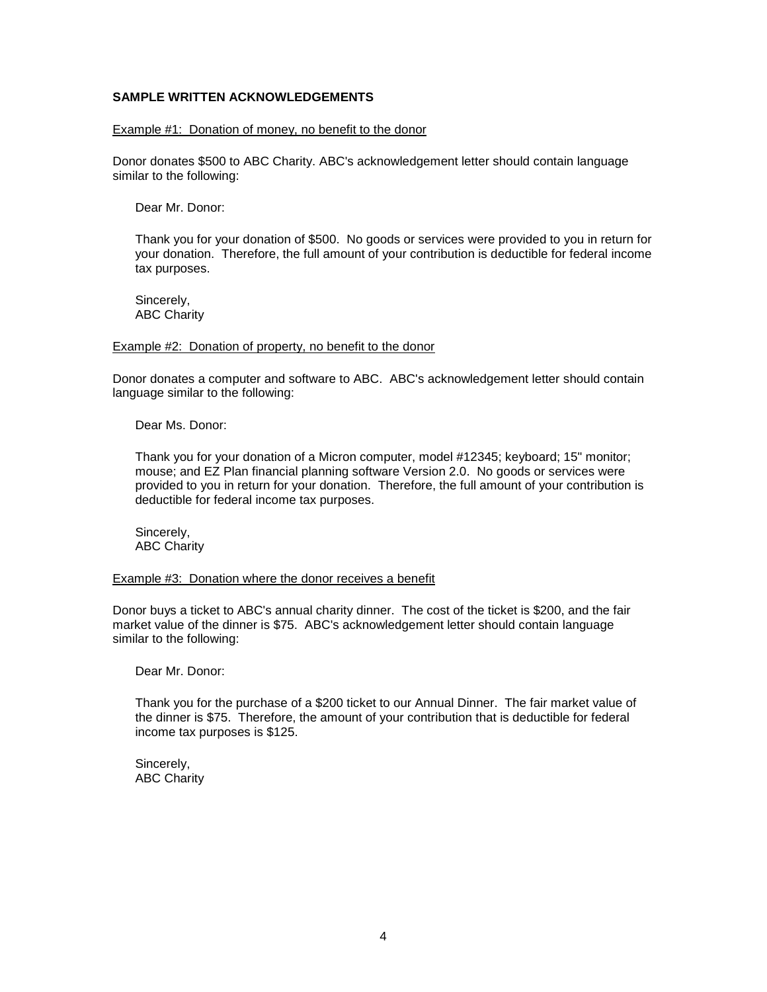## **SAMPLE WRITTEN ACKNOWLEDGEMENTS**

#### Example #1: Donation of money, no benefit to the donor

Donor donates \$500 to ABC Charity. ABC's acknowledgement letter should contain language similar to the following:

Dear Mr. Donor:

Thank you for your donation of \$500. No goods or services were provided to you in return for your donation. Therefore, the full amount of your contribution is deductible for federal income tax purposes.

Sincerely, ABC Charity

#### Example #2: Donation of property, no benefit to the donor

Donor donates a computer and software to ABC. ABC's acknowledgement letter should contain language similar to the following:

Dear Ms. Donor:

Thank you for your donation of a Micron computer, model #12345; keyboard; 15" monitor; mouse; and EZ Plan financial planning software Version 2.0. No goods or services were provided to you in return for your donation. Therefore, the full amount of your contribution is deductible for federal income tax purposes.

Sincerely, ABC Charity

#### Example #3: Donation where the donor receives a benefit

Donor buys a ticket to ABC's annual charity dinner. The cost of the ticket is \$200, and the fair market value of the dinner is \$75. ABC's acknowledgement letter should contain language similar to the following:

Dear Mr. Donor:

Thank you for the purchase of a \$200 ticket to our Annual Dinner. The fair market value of the dinner is \$75. Therefore, the amount of your contribution that is deductible for federal income tax purposes is \$125.

Sincerely, ABC Charity